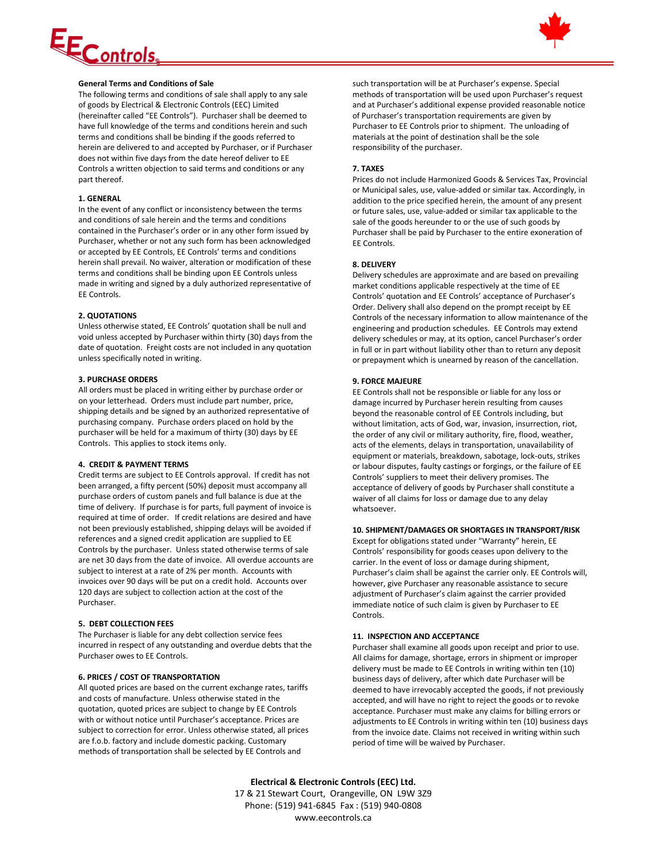# <u>EControls</u>



# **General Terms and Conditions of Sale**

The following terms and conditions of sale shall apply to any sale of goods by Electrical & Electronic Controls (EEC) Limited (hereinafter called "EE Controls"). Purchaser shall be deemed to have full knowledge of the terms and conditions herein and such terms and conditions shall be binding if the goods referred to herein are delivered to and accepted by Purchaser, or if Purchaser does not within five days from the date hereof deliver to EE Controls a written objection to said terms and conditions or any part thereof.

## **1. GENERAL**

In the event of any conflict or inconsistency between the terms and conditions of sale herein and the terms and conditions contained in the Purchaser's order or in any other form issued by Purchaser, whether or not any such form has been acknowledged or accepted by EE Controls, EE Controls' terms and conditions herein shall prevail. No waiver, alteration or modification of these terms and conditions shall be binding upon EE Controls unless made in writing and signed by a duly authorized representative of EE Controls.

# **2. QUOTATIONS**

Unless otherwise stated, EE Controls' quotation shall be null and void unless accepted by Purchaser within thirty (30) days from the date of quotation. Freight costs are not included in any quotation unless specifically noted in writing.

## **3. PURCHASE ORDERS**

All orders must be placed in writing either by purchase order or on your letterhead. Orders must include part number, price, shipping details and be signed by an authorized representative of purchasing company. Purchase orders placed on hold by the purchaser will be held for a maximum of thirty (30) days by EE Controls. This applies to stock items only.

## **4. CREDIT & PAYMENT TERMS**

Credit terms are subject to EE Controls approval. If credit has not been arranged, a fifty percent (50%) deposit must accompany all purchase orders of custom panels and full balance is due at the time of delivery. If purchase is for parts, full payment of invoice is required at time of order. If credit relations are desired and have not been previously established, shipping delays will be avoided if references and a signed credit application are supplied to EE Controls by the purchaser. Unless stated otherwise terms of sale are net 30 days from the date of invoice. All overdue accounts are subject to interest at a rate of 2% per month. Accounts with invoices over 90 days will be put on a credit hold. Accounts over 120 days are subject to collection action at the cost of the Purchaser.

# **5. DEBT COLLECTION FEES**

The Purchaser is liable for any debt collection service fees incurred in respect of any outstanding and overdue debts that the Purchaser owes to EE Controls.

## **6. PRICES / COST OF TRANSPORTATION**

All quoted prices are based on the current exchange rates, tariffs and costs of manufacture. Unless otherwise stated in the quotation, quoted prices are subject to change by EE Controls with or without notice until Purchaser's acceptance. Prices are subject to correction for error. Unless otherwise stated, all prices are f.o.b. factory and include domestic packing. Customary methods of transportation shall be selected by EE Controls and

such transportation will be at Purchaser's expense. Special methods of transportation will be used upon Purchaser's request and at Purchaser's additional expense provided reasonable notice of Purchaser's transportation requirements are given by Purchaser to EE Controls prior to shipment. The unloading of materials at the point of destination shall be the sole responsibility of the purchaser.

# **7. TAXES**

Prices do not include Harmonized Goods & Services Tax, Provincial or Municipal sales, use, value-added or similar tax. Accordingly, in addition to the price specified herein, the amount of any present or future sales, use, value-added or similar tax applicable to the sale of the goods hereunder to or the use of such goods by Purchaser shall be paid by Purchaser to the entire exoneration of EE Controls.

# **8. DELIVERY**

Delivery schedules are approximate and are based on prevailing market conditions applicable respectively at the time of EE Controls' quotation and EE Controls' acceptance of Purchaser's Order. Delivery shall also depend on the prompt receipt by EE Controls of the necessary information to allow maintenance of the engineering and production schedules. EE Controls may extend delivery schedules or may, at its option, cancel Purchaser's order in full or in part without liability other than to return any deposit or prepayment which is unearned by reason of the cancellation.

# **9. FORCE MAJEURE**

EE Controls shall not be responsible or liable for any loss or damage incurred by Purchaser herein resulting from causes beyond the reasonable control of EE Controls including, but without limitation, acts of God, war, invasion, insurrection, riot, the order of any civil or military authority, fire, flood, weather, acts of the elements, delays in transportation, unavailability of equipment or materials, breakdown, sabotage, lock-outs, strikes or labour disputes, faulty castings or forgings, or the failure of EE Controls' suppliers to meet their delivery promises. The acceptance of delivery of goods by Purchaser shall constitute a waiver of all claims for loss or damage due to any delay whatsoever.

## **10. SHIPMENT/DAMAGES OR SHORTAGES IN TRANSPORT/RISK**

Except for obligations stated under "Warranty" herein, EE Controls' responsibility for goods ceases upon delivery to the carrier. In the event of loss or damage during shipment, Purchaser's claim shall be against the carrier only. EE Controls will, however, give Purchaser any reasonable assistance to secure adjustment of Purchaser's claim against the carrier provided immediate notice of such claim is given by Purchaser to EE Controls.

## **11. INSPECTION AND ACCEPTANCE**

Purchaser shall examine all goods upon receipt and prior to use. All claims for damage, shortage, errors in shipment or improper delivery must be made to EE Controls in writing within ten (10) business days of delivery, after which date Purchaser will be deemed to have irrevocably accepted the goods, if not previously accepted, and will have no right to reject the goods or to revoke acceptance. Purchaser must make any claims for billing errors or adjustments to EE Controls in writing within ten (10) business days from the invoice date. Claims not received in writing within such period of time will be waived by Purchaser.

**Electrical & Electronic Controls (EEC) Ltd.** 17 & 21 Stewart Court, Orangeville, ON L9W 3Z9 Phone: (519) 941-6845 Fax : (519) 940-0808 www.eecontrols.ca